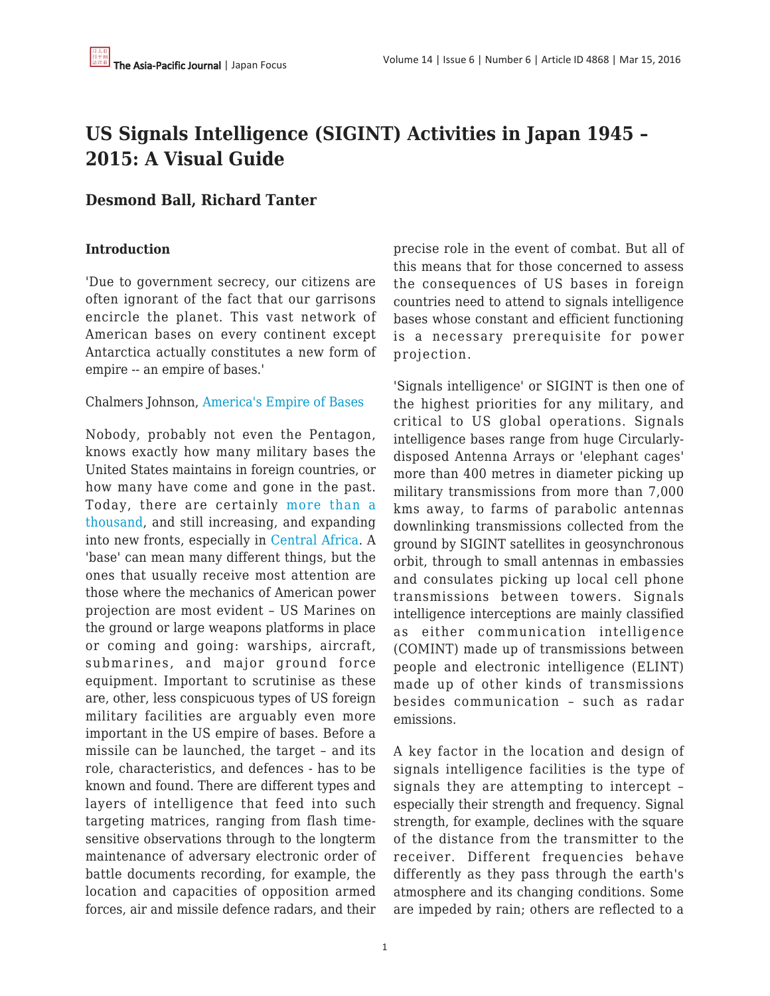# **US Signals Intelligence (SIGINT) Activities in Japan 1945 – 2015: A Visual Guide**

# **Desmond Ball, Richard Tanter**

#### **Introduction**

'Due to government secrecy, our citizens are often ignorant of the fact that our garrisons encircle the planet. This vast network of American bases on every continent except Antarctica actually constitutes a new form of empire -- an empire of bases.'

#### Chalmers Johnson, [America's Empire of Bases](http://www.tomdispatch.com/post/1181/)

Nobody, probably not even the Pentagon, knows exactly how many military bases the United States maintains in foreign countries, or how many have come and gone in the past. Today, there are certainly [more than a](http://www.tomdispatch.com/blog/175338/) [thousand,](http://www.tomdispatch.com/blog/175338/) and still increasing, and expanding into new fronts, especially in [Central Africa](https://theintercept.com/2016/02/25/us-extends-drone-war-deeper-into-africa-with-secretive-base/). A 'base' can mean many different things, but the ones that usually receive most attention are those where the mechanics of American power projection are most evident – US Marines on the ground or large weapons platforms in place or coming and going: warships, aircraft, submarines, and major ground force equipment. Important to scrutinise as these are, other, less conspicuous types of US foreign military facilities are arguably even more important in the US empire of bases. Before a missile can be launched, the target – and its role, characteristics, and defences - has to be known and found. There are different types and layers of intelligence that feed into such targeting matrices, ranging from flash timesensitive observations through to the longterm maintenance of adversary electronic order of battle documents recording, for example, the location and capacities of opposition armed forces, air and missile defence radars, and their precise role in the event of combat. But all of this means that for those concerned to assess the consequences of US bases in foreign countries need to attend to signals intelligence bases whose constant and efficient functioning is a necessary prerequisite for power projection.

'Signals intelligence' or SIGINT is then one of the highest priorities for any military, and critical to US global operations. Signals intelligence bases range from huge Circularlydisposed Antenna Arrays or 'elephant cages' more than 400 metres in diameter picking up military transmissions from more than 7,000 kms away, to farms of parabolic antennas downlinking transmissions collected from the ground by SIGINT satellites in geosynchronous orbit, through to small antennas in embassies and consulates picking up local cell phone transmissions between towers. Signals intelligence interceptions are mainly classified as either communication intelligence (COMINT) made up of transmissions between people and electronic intelligence (ELINT) made up of other kinds of transmissions besides communication – such as radar emissions.

A key factor in the location and design of signals intelligence facilities is the type of signals they are attempting to intercept – especially their strength and frequency. Signal strength, for example, declines with the square of the distance from the transmitter to the receiver. Different frequencies behave differently as they pass through the earth's atmosphere and its changing conditions. Some are impeded by rain; others are reflected to a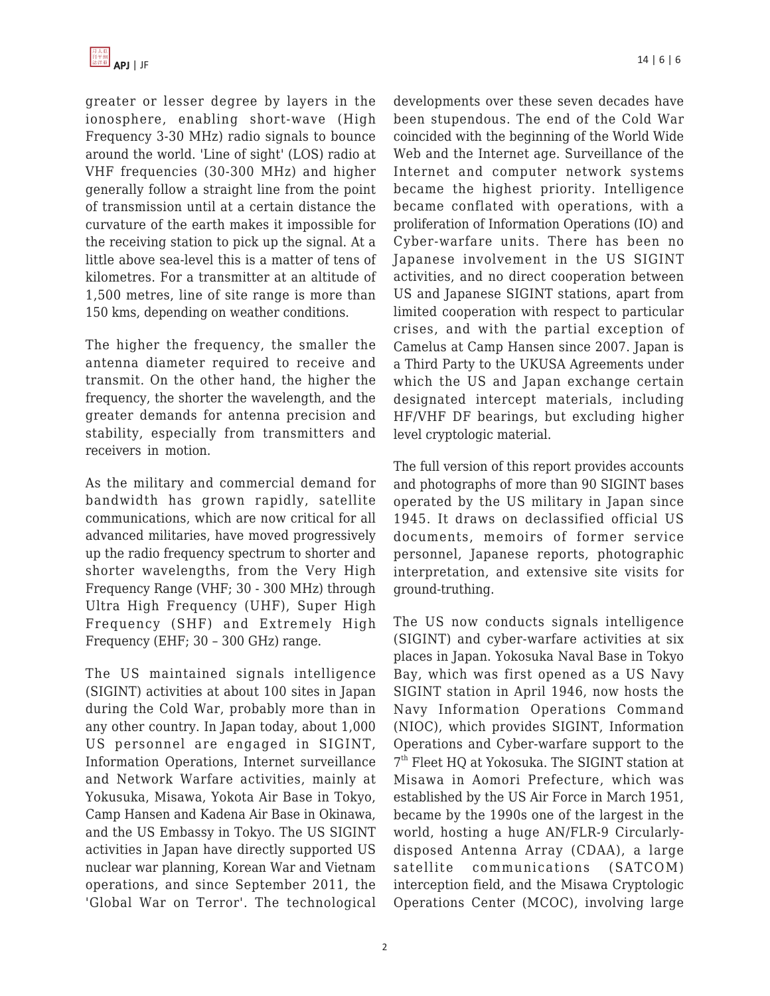

greater or lesser degree by layers in the ionosphere, enabling short-wave (High Frequency 3-30 MHz) radio signals to bounce around the world. 'Line of sight' (LOS) radio at VHF frequencies (30-300 MHz) and higher generally follow a straight line from the point of transmission until at a certain distance the curvature of the earth makes it impossible for the receiving station to pick up the signal. At a little above sea-level this is a matter of tens of kilometres. For a transmitter at an altitude of 1,500 metres, line of site range is more than 150 kms, depending on weather conditions.

The higher the frequency, the smaller the antenna diameter required to receive and transmit. On the other hand, the higher the frequency, the shorter the wavelength, and the greater demands for antenna precision and stability, especially from transmitters and receivers in motion.

As the military and commercial demand for bandwidth has grown rapidly, satellite communications, which are now critical for all advanced militaries, have moved progressively up the radio frequency spectrum to shorter and shorter wavelengths, from the Very High Frequency Range (VHF; 30 - 300 MHz) through Ultra High Frequency (UHF), Super High Frequency (SHF) and Extremely High Frequency (EHF; 30 – 300 GHz) range.

The US maintained signals intelligence (SIGINT) activities at about 100 sites in Japan during the Cold War, probably more than in any other country. In Japan today, about 1,000 US personnel are engaged in SIGINT, Information Operations, Internet surveillance and Network Warfare activities, mainly at Yokusuka, Misawa, Yokota Air Base in Tokyo, Camp Hansen and Kadena Air Base in Okinawa, and the US Embassy in Tokyo. The US SIGINT activities in Japan have directly supported US nuclear war planning, Korean War and Vietnam operations, and since September 2011, the 'Global War on Terror'. The technological developments over these seven decades have been stupendous. The end of the Cold War coincided with the beginning of the World Wide Web and the Internet age. Surveillance of the Internet and computer network systems became the highest priority. Intelligence became conflated with operations, with a proliferation of Information Operations (IO) and Cyber-warfare units. There has been no Japanese involvement in the US SIGINT activities, and no direct cooperation between US and Japanese SIGINT stations, apart from limited cooperation with respect to particular crises, and with the partial exception of Camelus at Camp Hansen since 2007. Japan is a Third Party to the UKUSA Agreements under which the US and Japan exchange certain designated intercept materials, including HF/VHF DF bearings, but excluding higher level cryptologic material.

The full version of this report provides accounts and photographs of more than 90 SIGINT bases operated by the US military in Japan since 1945. It draws on declassified official US documents, memoirs of former service personnel, Japanese reports, photographic interpretation, and extensive site visits for ground-truthing.

The US now conducts signals intelligence (SIGINT) and cyber-warfare activities at six places in Japan. Yokosuka Naval Base in Tokyo Bay, which was first opened as a US Navy SIGINT station in April 1946, now hosts the Navy Information Operations Command (NIOC), which provides SIGINT, Information Operations and Cyber-warfare support to the 7<sup>th</sup> Fleet HQ at Yokosuka. The SIGINT station at Misawa in Aomori Prefecture, which was established by the US Air Force in March 1951, became by the 1990s one of the largest in the world, hosting a huge AN/FLR-9 Circularlydisposed Antenna Array (CDAA), a large satellite communications (SATCOM) interception field, and the Misawa Cryptologic Operations Center (MCOC), involving large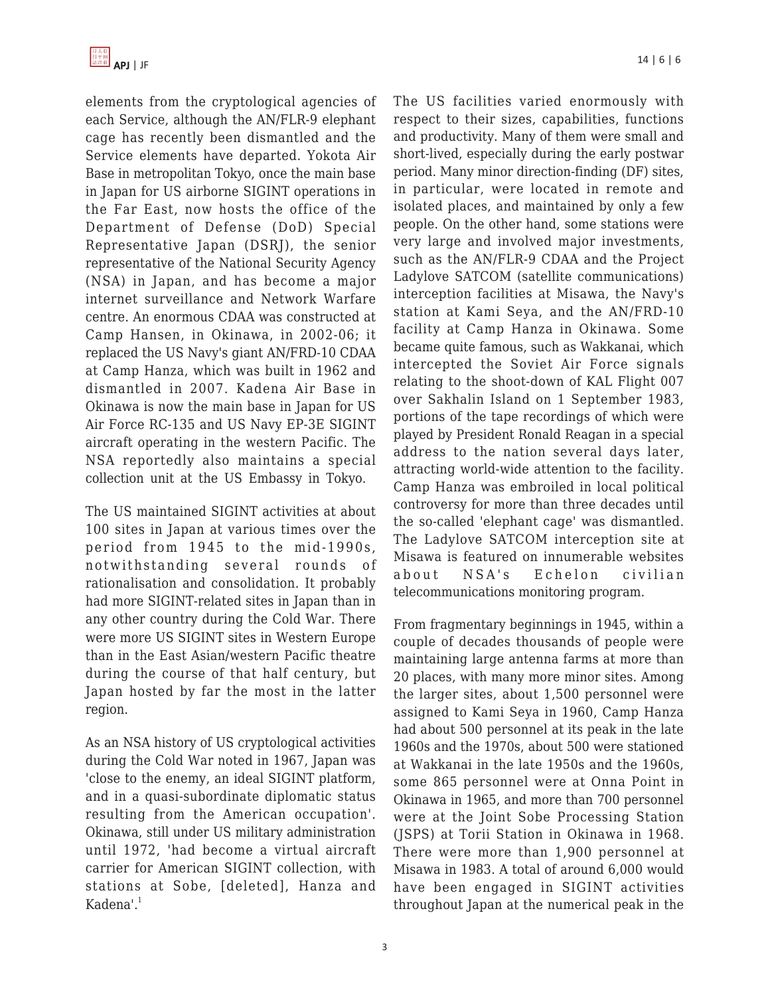elements from the cryptological agencies of each Service, although the AN/FLR-9 elephant cage has recently been dismantled and the Service elements have departed. Yokota Air Base in metropolitan Tokyo, once the main base in Japan for US airborne SIGINT operations in the Far East, now hosts the office of the Department of Defense (DoD) Special Representative Japan (DSRJ), the senior representative of the National Security Agency (NSA) in Japan, and has become a major internet surveillance and Network Warfare centre. An enormous CDAA was constructed at Camp Hansen, in Okinawa, in 2002-06; it replaced the US Navy's giant AN/FRD-10 CDAA at Camp Hanza, which was built in 1962 and dismantled in 2007. Kadena Air Base in Okinawa is now the main base in Japan for US Air Force RC-135 and US Navy EP-3E SIGINT aircraft operating in the western Pacific. The NSA reportedly also maintains a special collection unit at the US Embassy in Tokyo.

The US maintained SIGINT activities at about 100 sites in Japan at various times over the period from 1945 to the mid-1990s, notwithstanding several rounds of rationalisation and consolidation. It probably had more SIGINT-related sites in Japan than in any other country during the Cold War. There were more US SIGINT sites in Western Europe than in the East Asian/western Pacific theatre during the course of that half century, but Japan hosted by far the most in the latter region.

As an NSA history of US cryptological activities during the Cold War noted in 1967, Japan was 'close to the enemy, an ideal SIGINT platform, and in a quasi-subordinate diplomatic status resulting from the American occupation'. Okinawa, still under US military administration until 1972, 'had become a virtual aircraft carrier for American SIGINT collection, with stations at Sobe, [deleted], Hanza and Kadena'.<sup>1</sup>

The US facilities varied enormously with respect to their sizes, capabilities, functions and productivity. Many of them were small and short-lived, especially during the early postwar period. Many minor direction-finding (DF) sites, in particular, were located in remote and isolated places, and maintained by only a few people. On the other hand, some stations were very large and involved major investments, such as the AN/FLR-9 CDAA and the Project Ladylove SATCOM (satellite communications) interception facilities at Misawa, the Navy's station at Kami Seya, and the AN/FRD-10 facility at Camp Hanza in Okinawa. Some became quite famous, such as Wakkanai, which intercepted the Soviet Air Force signals relating to the shoot-down of KAL Flight 007 over Sakhalin Island on 1 September 1983, portions of the tape recordings of which were played by President Ronald Reagan in a special address to the nation several days later, attracting world-wide attention to the facility. Camp Hanza was embroiled in local political controversy for more than three decades until the so-called 'elephant cage' was dismantled. The Ladylove SATCOM interception site at Misawa is featured on innumerable websites about NSA's Echelon civilian telecommunications monitoring program.

From fragmentary beginnings in 1945, within a couple of decades thousands of people were maintaining large antenna farms at more than 20 places, with many more minor sites. Among the larger sites, about 1,500 personnel were assigned to Kami Seya in 1960, Camp Hanza had about 500 personnel at its peak in the late 1960s and the 1970s, about 500 were stationed at Wakkanai in the late 1950s and the 1960s, some 865 personnel were at Onna Point in Okinawa in 1965, and more than 700 personnel were at the Joint Sobe Processing Station (JSPS) at Torii Station in Okinawa in 1968. There were more than 1,900 personnel at Misawa in 1983. A total of around 6,000 would have been engaged in SIGINT activities throughout Japan at the numerical peak in the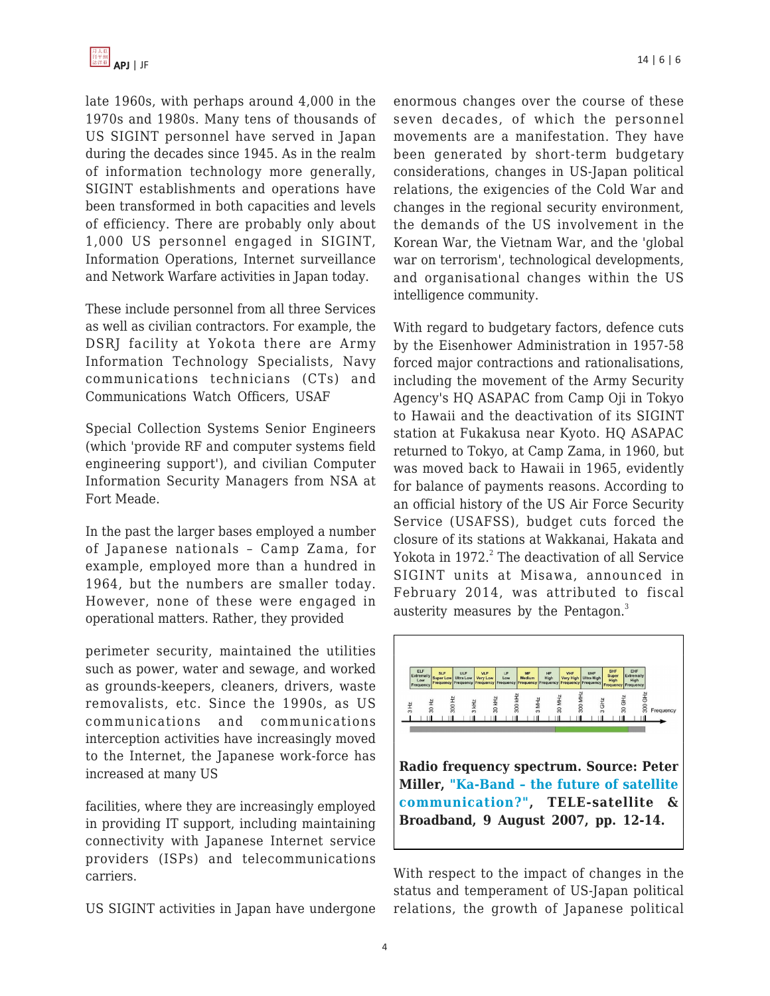late 1960s, with perhaps around 4,000 in the 1970s and 1980s. Many tens of thousands of US SIGINT personnel have served in Japan during the decades since 1945. As in the realm of information technology more generally, SIGINT establishments and operations have been transformed in both capacities and levels of efficiency. There are probably only about 1,000 US personnel engaged in SIGINT, Information Operations, Internet surveillance and Network Warfare activities in Japan today.

These include personnel from all three Services as well as civilian contractors. For example, the DSRJ facility at Yokota there are Army Information Technology Specialists, Navy communications technicians (CTs) and Communications Watch Officers, USAF

Special Collection Systems Senior Engineers (which 'provide RF and computer systems field engineering support'), and civilian Computer Information Security Managers from NSA at Fort Meade.

In the past the larger bases employed a number of Japanese nationals – Camp Zama, for example, employed more than a hundred in 1964, but the numbers are smaller today. However, none of these were engaged in operational matters. Rather, they provided

perimeter security, maintained the utilities such as power, water and sewage, and worked as grounds-keepers, cleaners, drivers, waste removalists, etc. Since the 1990s, as US communications and communications interception activities have increasingly moved to the Internet, the Japanese work-force has increased at many US

facilities, where they are increasingly employed in providing IT support, including maintaining connectivity with Japanese Internet service providers (ISPs) and telecommunications carriers.

US SIGINT activities in Japan have undergone

enormous changes over the course of these seven decades, of which the personnel movements are a manifestation. They have been generated by short-term budgetary considerations, changes in US-Japan political relations, the exigencies of the Cold War and changes in the regional security environment, the demands of the US involvement in the Korean War, the Vietnam War, and the 'global war on terrorism', technological developments, and organisational changes within the US intelligence community.

With regard to budgetary factors, defence cuts by the Eisenhower Administration in 1957-58 forced major contractions and rationalisations, including the movement of the Army Security Agency's HQ ASAPAC from Camp Oji in Tokyo to Hawaii and the deactivation of its SIGINT station at Fukakusa near Kyoto. HQ ASAPAC returned to Tokyo, at Camp Zama, in 1960, but was moved back to Hawaii in 1965, evidently for balance of payments reasons. According to an official history of the US Air Force Security Service (USAFSS), budget cuts forced the closure of its stations at Wakkanai, Hakata and Yokota in 1972.<sup>2</sup> The deactivation of all Service SIGINT units at Misawa, announced in February 2014, was attributed to fiscal austerity measures by the Pentagon.<sup>3</sup>



**Radio frequency spectrum. Source: Peter Miller, ["Ka-Band – the future of satellite](http://www.tele-satellite.com/TELE-satellite-0709/eng/feature.pdf) [communication?"](http://www.tele-satellite.com/TELE-satellite-0709/eng/feature.pdf), TELE-satellite & Broadband, 9 August 2007, pp. 12-14.**

With respect to the impact of changes in the status and temperament of US-Japan political relations, the growth of Japanese political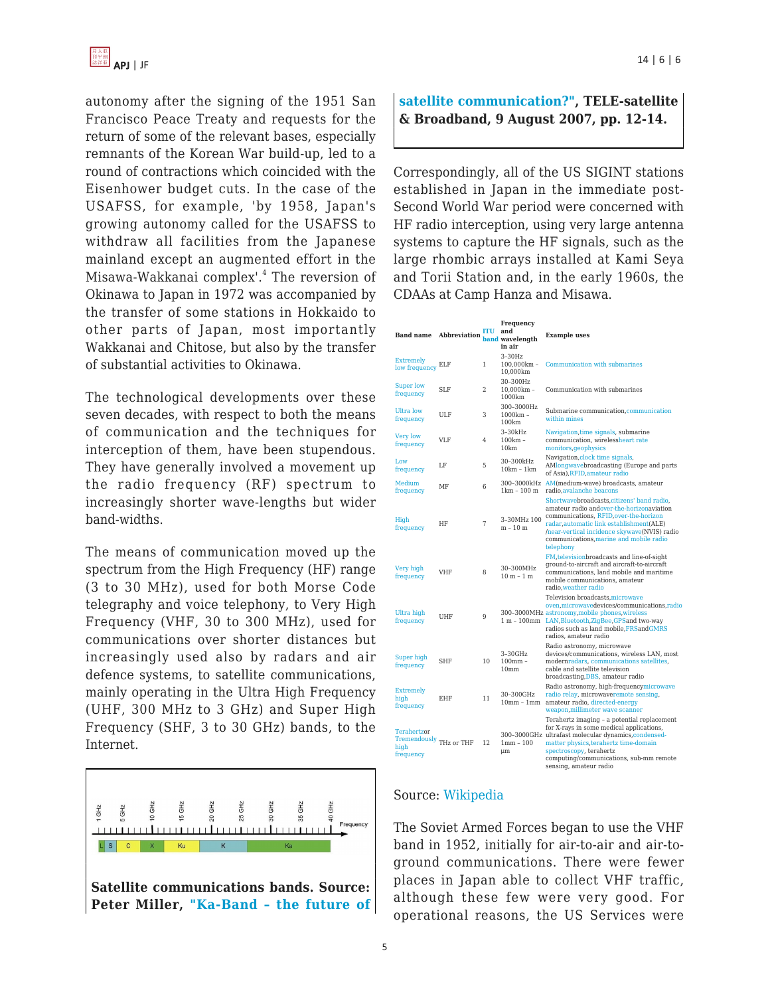autonomy after the signing of the 1951 San Francisco Peace Treaty and requests for the return of some of the relevant bases, especially remnants of the Korean War build-up, led to a round of contractions which coincided with the Eisenhower budget cuts. In the case of the USAFSS, for example, 'by 1958, Japan's growing autonomy called for the USAFSS to withdraw all facilities from the Japanese mainland except an augmented effort in the Misawa-Wakkanai complex'.<sup>4</sup> The reversion of Okinawa to Japan in 1972 was accompanied by the transfer of some stations in Hokkaido to other parts of Japan, most importantly Wakkanai and Chitose, but also by the transfer of substantial activities to Okinawa.

The technological developments over these seven decades, with respect to both the means of communication and the techniques for interception of them, have been stupendous. They have generally involved a movement up the radio frequency (RF) spectrum to increasingly shorter wave-lengths but wider band-widths.

The means of communication moved up the spectrum from the High Frequency (HF) range (3 to 30 MHz), used for both Morse Code telegraphy and voice telephony, to Very High Frequency (VHF, 30 to 300 MHz), used for communications over shorter distances but increasingly used also by radars and air defence systems, to satellite communications, mainly operating in the Ultra High Frequency (UHF, 300 MHz to 3 GHz) and Super High Frequency (SHF, 3 to 30 GHz) bands, to the Internet.



## **[satellite communication?"](http://www.tele-satellite.com/TELE-satellite-0709/eng/feature.pdf), TELE-satellite & Broadband, 9 August 2007, pp. 12-14.**

Correspondingly, all of the US SIGINT stations established in Japan in the immediate post-Second World War period were concerned with HF radio interception, using very large antenna systems to capture the HF signals, such as the large rhombic arrays installed at Kami Seya and Torii Station and, in the early 1960s, the CDAAs at Camp Hanza and Misawa.

| <b>Band name</b>                                            | Abbreviation band wavelength | ITU | Frequency<br>and<br>in air                     | <b>Example uses</b>                                                                                                                                                                                                                                                                      |
|-------------------------------------------------------------|------------------------------|-----|------------------------------------------------|------------------------------------------------------------------------------------------------------------------------------------------------------------------------------------------------------------------------------------------------------------------------------------------|
| <b>Extremely</b><br>low frequency                           | ELF                          | 1   | $3-30Hz$<br>100.000km -<br>10,000km            | Communication with submarines                                                                                                                                                                                                                                                            |
| <b>Super low</b><br>frequency                               | <b>SLF</b>                   | 2   | 30-300Hz<br>$10,000km -$<br>1000km             | Communication with submarines                                                                                                                                                                                                                                                            |
| Ultra low<br>frequency                                      | ULF                          | 3   | 300-3000Hz<br>$1000km -$<br>100km              | Submarine communication, communication<br>within mines                                                                                                                                                                                                                                   |
| Very low<br>frequency                                       | <b>VLF</b>                   | 4   | $3-30kHz$<br>$100km -$<br>10km                 | Navigation, time signals, submarine<br>communication, wirelessheart rate<br>monitors, geophysics                                                                                                                                                                                         |
| Low<br>frequency                                            | LF                           | 5   | 30-300kHz<br>$10km - 1km$                      | Navigation, clock time signals,<br>AMlongwavebroadcasting (Europe and parts<br>of Asia), RFID, amateur radio                                                                                                                                                                             |
| Medium<br>frequency                                         | MF                           | 6   | $1km - 100m$                                   | 300-3000kHz AM(medium-wave) broadcasts, amateur<br>radio.avalanche beacons                                                                                                                                                                                                               |
| High<br>frequency                                           | HF                           | 7   | 3-30MHz 100<br>m - 10 m                        | Shortwavebroadcasts, citizens' band radio,<br>amateur radio andover-the-horizonaviation<br>communications, RFID, over-the-horizon<br>radar, automatic link establishment(ALE)<br>/near-vertical incidence skywave(NVIS) radio<br>communications, marine and mobile radio<br>telephony    |
| Very high<br>frequency                                      | <b>VHF</b>                   | 8   | 30-300MHz<br>$10 m - 1 m$                      | FM, television broadcasts and line-of-sight<br>ground-to-aircraft and aircraft-to-aircraft<br>communications, land mobile and maritime<br>mobile communications, amateur<br>radio.weather radio                                                                                          |
| Ultra high<br>frequency                                     | UHF                          | 9   |                                                | Television broadcasts.microwave<br>oven, microwavedevices/communications, radio<br>300-3000MHz astronomy, mobile phones, wireless<br>1 m - 100mm LAN, Bluetooth, ZigBee, GPSand two-way<br>radios such as land mobile, FRSandGMRS<br>radios, amateur radio                               |
| Super high<br>frequency                                     | <b>SHF</b>                   | 10  | $3-30$ GHz<br>$100$ mm $-$<br>10 <sub>mm</sub> | Radio astronomy, microwave<br>devices/communications, wireless LAN, most<br>modernradars, communications satellites,<br>cable and satellite television<br>broadcasting, DBS, amateur radio                                                                                               |
| <b>Extremely</b><br>high<br>frequency                       | EHF                          | 11  | 30-300GHz<br>$10mm - 1mm$                      | Radio astronomy, high-frequencymicrowave<br>radio relay, microwaveremote sensing,<br>amateur radio, directed-energy<br>weapon, millimeter wave scanner                                                                                                                                   |
| Terahertzor<br>Tremendously THz or THF<br>high<br>frequency |                              | 12  | $1mm - 100$<br>um                              | Terahertz imaging - a potential replacement<br>for X-rays in some medical applications,<br>300-3000GHz ultrafast molecular dynamics, condensed-<br>matter physics, terahertz time-domain<br>spectroscopy, terahertz<br>computing/communications, sub-mm remote<br>sensing, amateur radio |

#### Source: [Wikipedia](https://en.wikipedia.org/wiki/Radio_spectrum)

The Soviet Armed Forces began to use the VHF band in 1952, initially for air-to-air and air-toground communications. There were fewer places in Japan able to collect VHF traffic, although these few were very good. For operational reasons, the US Services were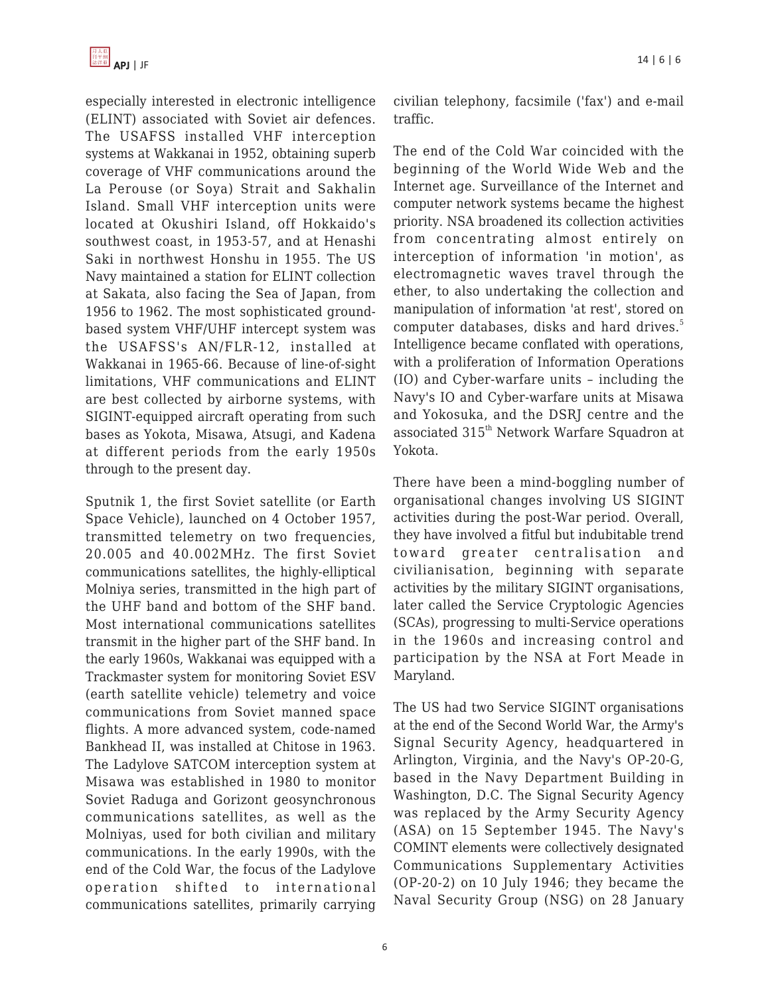

especially interested in electronic intelligence (ELINT) associated with Soviet air defences. The USAFSS installed VHF interception systems at Wakkanai in 1952, obtaining superb coverage of VHF communications around the La Perouse (or Soya) Strait and Sakhalin Island. Small VHF interception units were located at Okushiri Island, off Hokkaido's southwest coast, in 1953-57, and at Henashi Saki in northwest Honshu in 1955. The US Navy maintained a station for ELINT collection at Sakata, also facing the Sea of Japan, from 1956 to 1962. The most sophisticated groundbased system VHF/UHF intercept system was the USAFSS's AN/FLR-12, installed at Wakkanai in 1965-66. Because of line-of-sight limitations, VHF communications and ELINT are best collected by airborne systems, with SIGINT-equipped aircraft operating from such bases as Yokota, Misawa, Atsugi, and Kadena at different periods from the early 1950s through to the present day.

Sputnik 1, the first Soviet satellite (or Earth Space Vehicle), launched on 4 October 1957, transmitted telemetry on two frequencies, 20.005 and 40.002MHz. The first Soviet communications satellites, the highly-elliptical Molniya series, transmitted in the high part of the UHF band and bottom of the SHF band. Most international communications satellites transmit in the higher part of the SHF band. In the early 1960s, Wakkanai was equipped with a Trackmaster system for monitoring Soviet ESV (earth satellite vehicle) telemetry and voice communications from Soviet manned space flights. A more advanced system, code-named Bankhead II, was installed at Chitose in 1963. The Ladylove SATCOM interception system at Misawa was established in 1980 to monitor Soviet Raduga and Gorizont geosynchronous communications satellites, as well as the Molniyas, used for both civilian and military communications. In the early 1990s, with the end of the Cold War, the focus of the Ladylove operation shifted to international communications satellites, primarily carrying

civilian telephony, facsimile ('fax') and e-mail traffic.

The end of the Cold War coincided with the beginning of the World Wide Web and the Internet age. Surveillance of the Internet and computer network systems became the highest priority. NSA broadened its collection activities from concentrating almost entirely on interception of information 'in motion', as electromagnetic waves travel through the ether, to also undertaking the collection and manipulation of information 'at rest', stored on computer databases, disks and hard drives.<sup>5</sup> Intelligence became conflated with operations, with a proliferation of Information Operations (IO) and Cyber-warfare units – including the Navy's IO and Cyber-warfare units at Misawa and Yokosuka, and the DSRJ centre and the associated 315<sup>th</sup> Network Warfare Squadron at Yokota.

There have been a mind-boggling number of organisational changes involving US SIGINT activities during the post-War period. Overall, they have involved a fitful but indubitable trend toward greater centralisation and civilianisation, beginning with separate activities by the military SIGINT organisations, later called the Service Cryptologic Agencies (SCAs), progressing to multi-Service operations in the 1960s and increasing control and participation by the NSA at Fort Meade in Maryland.

The US had two Service SIGINT organisations at the end of the Second World War, the Army's Signal Security Agency, headquartered in Arlington, Virginia, and the Navy's OP-20-G, based in the Navy Department Building in Washington, D.C. The Signal Security Agency was replaced by the Army Security Agency (ASA) on 15 September 1945. The Navy's COMINT elements were collectively designated Communications Supplementary Activities (OP-20-2) on 10 July 1946; they became the Naval Security Group (NSG) on 28 January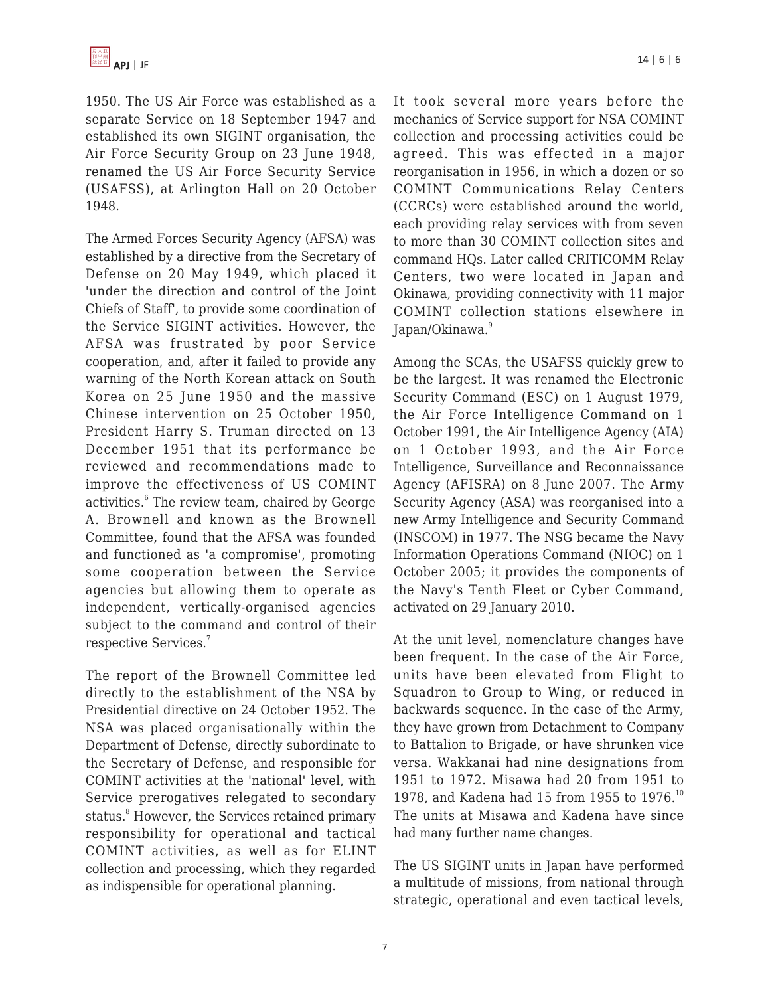1950. The US Air Force was established as a separate Service on 18 September 1947 and established its own SIGINT organisation, the Air Force Security Group on 23 June 1948, renamed the US Air Force Security Service (USAFSS), at Arlington Hall on 20 October 1948.

The Armed Forces Security Agency (AFSA) was established by a directive from the Secretary of Defense on 20 May 1949, which placed it 'under the direction and control of the Joint Chiefs of Staff', to provide some coordination of the Service SIGINT activities. However, the AFSA was frustrated by poor Service cooperation, and, after it failed to provide any warning of the North Korean attack on South Korea on 25 June 1950 and the massive Chinese intervention on 25 October 1950, President Harry S. Truman directed on 13 December 1951 that its performance be reviewed and recommendations made to improve the effectiveness of US COMINT activities.<sup>6</sup> The review team, chaired by George A. Brownell and known as the Brownell Committee, found that the AFSA was founded and functioned as 'a compromise', promoting some cooperation between the Service agencies but allowing them to operate as independent, vertically-organised agencies subject to the command and control of their respective Services.<sup>7</sup>

The report of the Brownell Committee led directly to the establishment of the NSA by Presidential directive on 24 October 1952. The NSA was placed organisationally within the Department of Defense, directly subordinate to the Secretary of Defense, and responsible for COMINT activities at the 'national' level, with Service prerogatives relegated to secondary status.<sup>8</sup> However, the Services retained primary responsibility for operational and tactical COMINT activities, as well as for ELINT collection and processing, which they regarded as indispensible for operational planning.

It took several more years before the mechanics of Service support for NSA COMINT collection and processing activities could be agreed. This was effected in a major reorganisation in 1956, in which a dozen or so COMINT Communications Relay Centers (CCRCs) were established around the world, each providing relay services with from seven to more than 30 COMINT collection sites and command HQs. Later called CRITICOMM Relay Centers, two were located in Japan and Okinawa, providing connectivity with 11 major COMINT collection stations elsewhere in Japan/Okinawa.<sup>9</sup>

Among the SCAs, the USAFSS quickly grew to be the largest. It was renamed the Electronic Security Command (ESC) on 1 August 1979, the Air Force Intelligence Command on 1 October 1991, the Air Intelligence Agency (AIA) on 1 October 1993, and the Air Force Intelligence, Surveillance and Reconnaissance Agency (AFISRA) on 8 June 2007. The Army Security Agency (ASA) was reorganised into a new Army Intelligence and Security Command (INSCOM) in 1977. The NSG became the Navy Information Operations Command (NIOC) on 1 October 2005; it provides the components of the Navy's Tenth Fleet or Cyber Command, activated on 29 January 2010.

At the unit level, nomenclature changes have been frequent. In the case of the Air Force, units have been elevated from Flight to Squadron to Group to Wing, or reduced in backwards sequence. In the case of the Army, they have grown from Detachment to Company to Battalion to Brigade, or have shrunken vice versa. Wakkanai had nine designations from 1951 to 1972. Misawa had 20 from 1951 to 1978, and Kadena had 15 from 1955 to 1976.<sup>10</sup> The units at Misawa and Kadena have since had many further name changes.

The US SIGINT units in Japan have performed a multitude of missions, from national through strategic, operational and even tactical levels,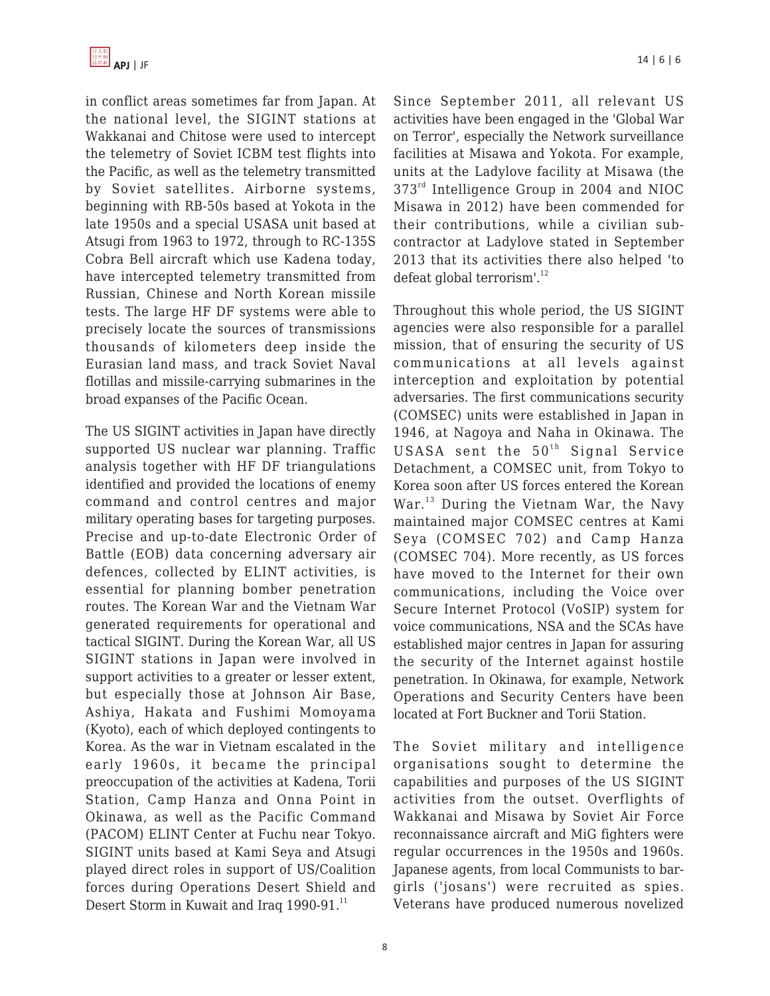in conflict areas sometimes far from Japan. At the national level, the SIGINT stations at Wakkanai and Chitose were used to intercept the telemetry of Soviet ICBM test flights into the Pacific, as well as the telemetry transmitted by Soviet satellites. Airborne systems, beginning with RB-50s based at Yokota in the late 1950s and a special USASA unit based at Atsugi from 1963 to 1972, through to RC-135S Cobra Bell aircraft which use Kadena today, have intercepted telemetry transmitted from Russian, Chinese and North Korean missile tests. The large HF DF systems were able to precisely locate the sources of transmissions thousands of kilometers deep inside the Eurasian land mass, and track Soviet Naval flotillas and missile-carrying submarines in the broad expanses of the Pacific Ocean.

The US SIGINT activities in Japan have directly supported US nuclear war planning. Traffic analysis together with HF DF triangulations identified and provided the locations of enemy command and control centres and major military operating bases for targeting purposes. Precise and up-to-date Electronic Order of Battle (EOB) data concerning adversary air defences, collected by ELINT activities, is essential for planning bomber penetration routes. The Korean War and the Vietnam War generated requirements for operational and tactical SIGINT. During the Korean War, all US SIGINT stations in Japan were involved in support activities to a greater or lesser extent, but especially those at Johnson Air Base, Ashiya, Hakata and Fushimi Momoyama (Kyoto), each of which deployed contingents to Korea. As the war in Vietnam escalated in the early 1960s, it became the principal preoccupation of the activities at Kadena, Torii Station, Camp Hanza and Onna Point in Okinawa, as well as the Pacific Command (PACOM) ELINT Center at Fuchu near Tokyo. SIGINT units based at Kami Seya and Atsugi played direct roles in support of US/Coalition forces during Operations Desert Shield and Desert Storm in Kuwait and Iraq 1990-91.<sup>11</sup>

Since September 2011, all relevant US activities have been engaged in the 'Global War on Terror', especially the Network surveillance facilities at Misawa and Yokota. For example, units at the Ladylove facility at Misawa (the 373<sup>rd</sup> Intelligence Group in 2004 and NIOC Misawa in 2012) have been commended for their contributions, while a civilian subcontractor at Ladylove stated in September 2013 that its activities there also helped 'to defeat global terrorism'.<sup>12</sup>

Throughout this whole period, the US SIGINT agencies were also responsible for a parallel mission, that of ensuring the security of US communications at all levels against interception and exploitation by potential adversaries. The first communications security (COMSEC) units were established in Japan in 1946, at Nagoya and Naha in Okinawa. The USASA sent the  $50<sup>th</sup>$  Signal Service Detachment, a COMSEC unit, from Tokyo to Korea soon after US forces entered the Korean War.<sup>13</sup> During the Vietnam War, the Navy maintained major COMSEC centres at Kami Seya (COMSEC 702) and Camp Hanza (COMSEC 704). More recently, as US forces have moved to the Internet for their own communications, including the Voice over Secure Internet Protocol (VoSIP) system for voice communications, NSA and the SCAs have established major centres in Japan for assuring the security of the Internet against hostile penetration. In Okinawa, for example, Network Operations and Security Centers have been located at Fort Buckner and Torii Station.

The Soviet military and intelligence organisations sought to determine the capabilities and purposes of the US SIGINT activities from the outset. Overflights of Wakkanai and Misawa by Soviet Air Force reconnaissance aircraft and MiG fighters were regular occurrences in the 1950s and 1960s. Japanese agents, from local Communists to bargirls ('josans') were recruited as spies. Veterans have produced numerous novelized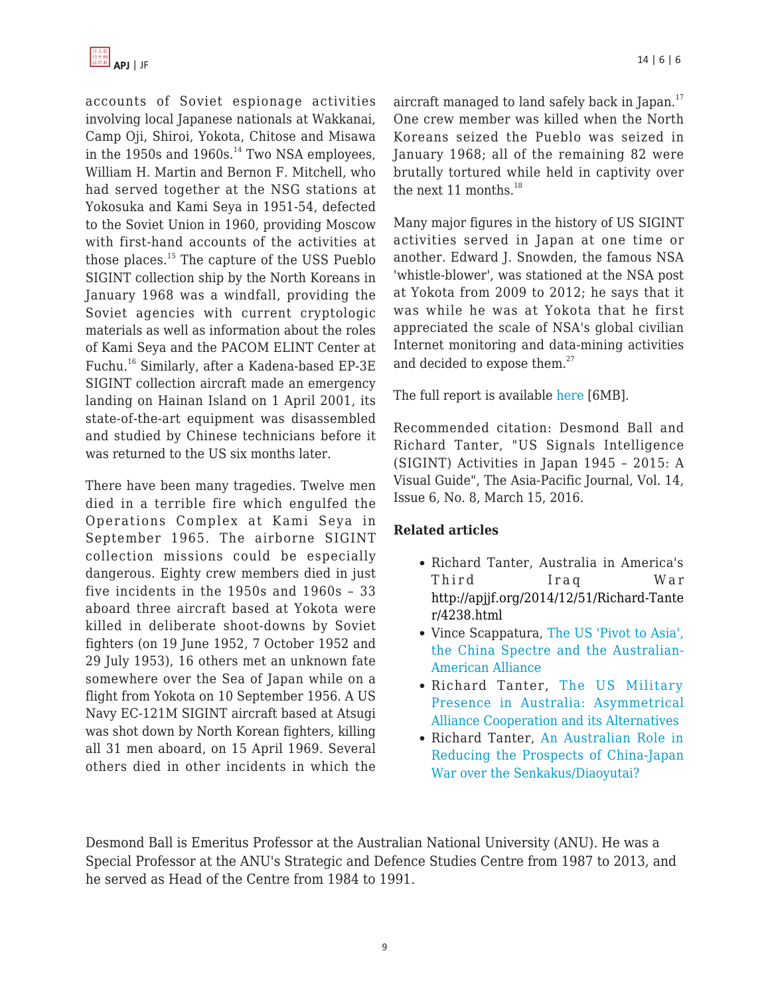

accounts of Soviet espionage activities involving local Japanese nationals at Wakkanai, Camp Oji, Shiroi, Yokota, Chitose and Misawa in the 1950s and 1960s. $^{14}$  Two NSA employees, William H. Martin and Bernon F. Mitchell, who had served together at the NSG stations at Yokosuka and Kami Seya in 1951-54, defected to the Soviet Union in 1960, providing Moscow with first-hand accounts of the activities at those places.<sup>15</sup> The capture of the USS Pueblo SIGINT collection ship by the North Koreans in January 1968 was a windfall, providing the Soviet agencies with current cryptologic materials as well as information about the roles of Kami Seya and the PACOM ELINT Center at Fuchu.<sup>16</sup> Similarly, after a Kadena-based EP-3E SIGINT collection aircraft made an emergency landing on Hainan Island on 1 April 2001, its state-of-the-art equipment was disassembled and studied by Chinese technicians before it was returned to the US six months later.

There have been many tragedies. Twelve men died in a terrible fire which engulfed the Operations Complex at Kami Seya in September 1965. The airborne SIGINT collection missions could be especially dangerous. Eighty crew members died in just five incidents in the 1950s and 1960s – 33 aboard three aircraft based at Yokota were killed in deliberate shoot-downs by Soviet fighters (on 19 June 1952, 7 October 1952 and 29 July 1953), 16 others met an unknown fate somewhere over the Sea of Japan while on a flight from Yokota on 10 September 1956. A US Navy EC-121M SIGINT aircraft based at Atsugi was shot down by North Korean fighters, killing all 31 men aboard, on 15 April 1969. Several others died in other incidents in which the aircraft managed to land safely back in Japan.<sup>17</sup> One crew member was killed when the North Koreans seized the Pueblo was seized in January 1968; all of the remaining 82 were brutally tortured while held in captivity over the next 11 months. $^{18}$ 

Many major figures in the history of US SIGINT activities served in Japan at one time or another. Edward J. Snowden, the famous NSA 'whistle-blower', was stationed at the NSA post at Yokota from 2009 to 2012; he says that it was while he was at Yokota that he first appreciated the scale of NSA's global civilian Internet monitoring and data-mining activities and decided to expose them.<sup>27</sup>

The full report is available [here](http://nautilus.us4.list-manage.com/track/click?u=0de7e0e84dc3aff619f936a70&id=a386040d93&e=1bee2c9c27) [6MB].

Recommended citation: Desmond Ball and Richard Tanter, "US Signals Intelligence (SIGINT) Activities in Japan 1945 – 2015: A Visual Guide", The Asia-Pacific Journal, Vol. 14, Issue 6, No. 8, March 15, 2016.

### **Related articles**

- Richard Tanter, Australia in America's Third Iraq War [http://apjjf.org/2014/12/51/Richard-Tante](https://apjjf.org/2014/12/51/Richard-Tanter/4238.html) [r/4238.html](https://apjjf.org/2014/12/51/Richard-Tanter/4238.html)
- Vince Scappatura, [The US 'Pivot to Asia',](https://apjjf.org/-Vince-Scappatura/4178) [the China Spectre and the Australian-](https://apjjf.org/-Vince-Scappatura/4178)[American Alliance](https://apjjf.org/-Vince-Scappatura/4178)
- Richard Tanter, [The US Military](https://apjjf.org/-Richard-Tanter/4025) [Presence in Australia: Asymmetrical](https://apjjf.org/-Richard-Tanter/4025) [Alliance Cooperation and its Alternatives](https://apjjf.org/-Richard-Tanter/4025)
- Richard Tanter, [An Australian Role in](https://apjjf.org/-Richard-Tanter/3901) [Reducing the Prospects of China-Japan](https://apjjf.org/-Richard-Tanter/3901) [War over the Senkakus/Diaoyutai?](https://apjjf.org/-Richard-Tanter/3901)

Desmond Ball is Emeritus Professor at the Australian National University (ANU). He was a Special Professor at the ANU's Strategic and Defence Studies Centre from 1987 to 2013, and he served as Head of the Centre from 1984 to 1991.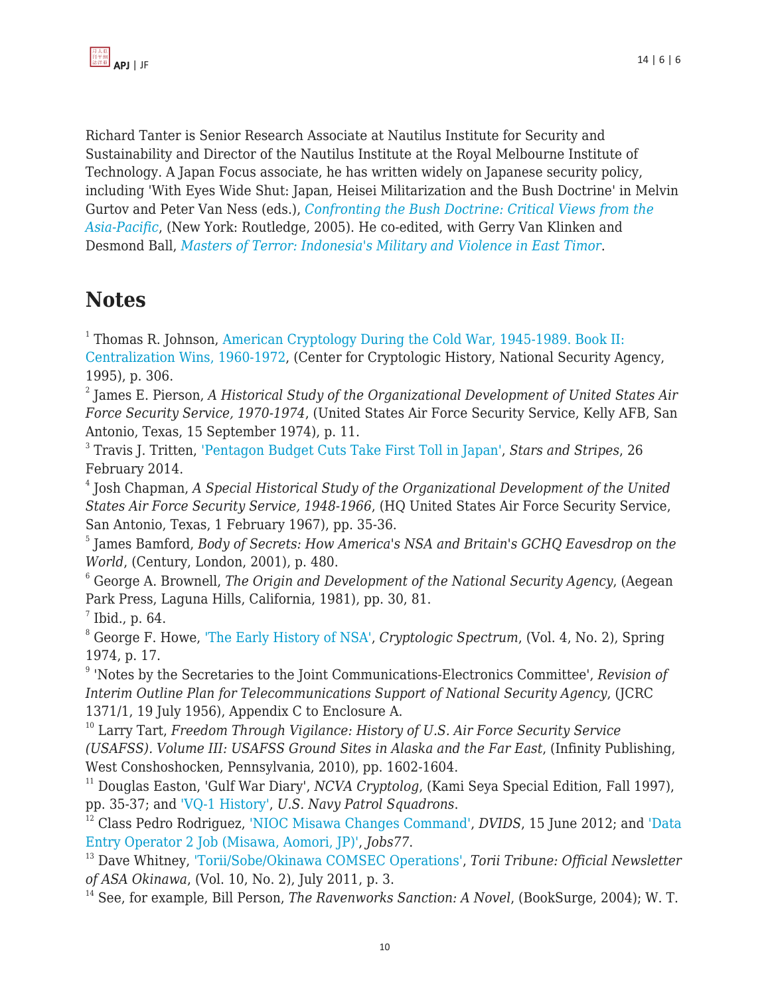Richard Tanter is Senior Research Associate at Nautilus Institute for Security and Sustainability and Director of the Nautilus Institute at the Royal Melbourne Institute of Technology. A Japan Focus associate, he has written widely on Japanese security policy, including 'With Eyes Wide Shut: Japan, Heisei Militarization and the Bush Doctrine' in Melvin Gurtov and Peter Van Ness (eds.), *[Confronting the Bush Doctrine: Critical Views from the](http://www.routledge.com/9780415355346) [Asia-Pacific](http://www.routledge.com/9780415355346)*, (New York: Routledge, 2005). He co-edited, with Gerry Van Klinken and Desmond Ball, *[Masters of Terror: Indonesia's Military and Violence in East Timor](http://books.google.com/books?id=DJ5xk_-Hu58C&dq=Masters+of+Terror:+Indonesia)*.

# **Notes**

<sup>1</sup> Thomas R. Johnson, [American Cryptology During the Cold War, 1945-1989. Book II:](http://www2.gwu.edu/~nsarchiv/NSAEBB/NSAEBB441/docs/doc%201%202008-021%20Burr%20Release%20Document%201%20-%20Part%20A2.pdf) [Centralization Wins, 1960-1972](http://www2.gwu.edu/~nsarchiv/NSAEBB/NSAEBB441/docs/doc%201%202008-021%20Burr%20Release%20Document%201%20-%20Part%20A2.pdf), (Center for Cryptologic History, National Security Agency, 1995), p. 306.

2 James E. Pierson, *A Historical Study of the Organizational Development of United States Air Force Security Service, 1970-1974*, (United States Air Force Security Service, Kelly AFB, San Antonio, Texas, 15 September 1974), p. 11.

3 Travis J. Tritten, ['Pentagon Budget Cuts Take First Toll in Japan'](http://www.stripes.com/news/pacific/japan/pentagon-budget-cuts-take-first-toll-in-japan-england-1.269990), *Stars and Stripes*, 26 February 2014.

4 Josh Chapman, *A Special Historical Study of the Organizational Development of the United States Air Force Security Service, 1948-1966*, (HQ United States Air Force Security Service, San Antonio, Texas, 1 February 1967), pp. 35-36.

5 James Bamford, *Body of Secrets: How America's NSA and Britain's GCHQ Eavesdrop on the World*, (Century, London, 2001), p. 480.

<sup>6</sup> George A. Brownell, *The Origin and Development of the National Security Agency*, (Aegean Park Press, Laguna Hills, California, 1981), pp. 30, 81.

 $^7$  Ibid., p. 64.

<sup>8</sup> George F. Howe, ['The Early History of NSA',](https://www.nsa.gov/public_info/_files/cryptologic_spectrum/early_history_nsa.pdf) *Cryptologic Spectrum*, (Vol. 4, No. 2), Spring 1974, p. 17.

9 'Notes by the Secretaries to the Joint Communications-Electronics Committee', *Revision of Interim Outline Plan for Telecommunications Support of National Security Agency*, (JCRC 1371/1, 19 July 1956), Appendix C to Enclosure A.

<sup>10</sup> Larry Tart, *Freedom Through Vigilance: History of U.S. Air Force Security Service (USAFSS). Volume III: USAFSS Ground Sites in Alaska and the Far East*, (Infinity Publishing, West Conshoshocken, Pennsylvania, 2010), pp. 1602-1604.

<sup>11</sup> Douglas Easton, 'Gulf War Diary', *NCVA Cryptolog*, (Kami Seya Special Edition, Fall 1997), pp. 35-37; and ['VQ-1 History'](http://www.vpnavy.org/vq1_1950.html), *U.S. Navy Patrol Squadrons*.

<sup>12</sup> Class Pedro Rodriguez, ['NIOC Misawa Changes Command',](http://www.dvidshub.net/news/90046/nioc-misawa-changes-command#.U7zy-EBade5) *DVIDS*, 15 June 2012; and ['Data](http://www.japanjobs77.com/job/DATA_ENTRY_OPERATOR_2_Job_Misawa_AOMORI_JP-17657492.html) [Entry Operator 2 Job \(Misawa, Aomori, JP\)'](http://www.japanjobs77.com/job/DATA_ENTRY_OPERATOR_2_Job_Misawa_AOMORI_JP-17657492.html), *Jobs77*.

<sup>13</sup> Dave Whitney, ['Torii/Sobe/Okinawa COMSEC Operations'](http://www.mlrsinc.com/asaokinawa/newsletters/ToriiTyphoon0711.pdf), *Torii Tribune: Official Newsletter of ASA Okinawa*, (Vol. 10, No. 2), July 2011, p. 3.

<sup>14</sup> See, for example, Bill Person, *The Ravenworks Sanction: A Novel*, (BookSurge, 2004); W. T.